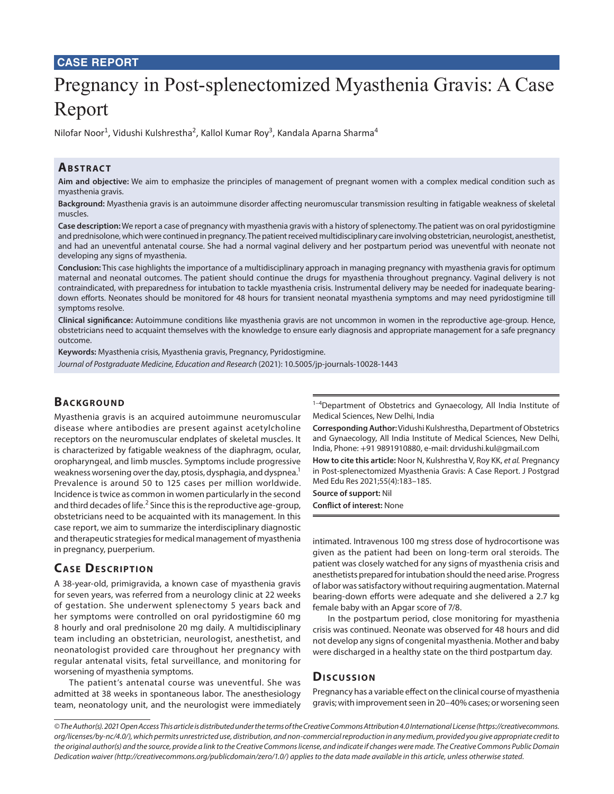#### **CASE REPORT**

# Pregnancy in Post-splenectomized Myasthenia Gravis: A Case Report

Nilofar Noor<sup>1</sup>, Vidushi Kulshrestha<sup>2</sup>, Kallol Kumar Roy<sup>3</sup>, Kandala Aparna Sharma<sup>4</sup>

## **ABSTRACT**

**Aim and objective:** We aim to emphasize the principles of management of pregnant women with a complex medical condition such as myasthenia gravis.

**Background:** Myasthenia gravis is an autoimmune disorder affecting neuromuscular transmission resulting in fatigable weakness of skeletal muscles.

**Case description:** We report a case of pregnancy with myasthenia gravis with a history of splenectomy. The patient was on oral pyridostigmine and prednisolone, which were continued in pregnancy. The patient received multidisciplinary care involving obstetrician, neurologist, anesthetist, and had an uneventful antenatal course. She had a normal vaginal delivery and her postpartum period was uneventful with neonate not developing any signs of myasthenia.

**Conclusion:** This case highlights the importance of a multidisciplinary approach in managing pregnancy with myasthenia gravis for optimum maternal and neonatal outcomes. The patient should continue the drugs for myasthenia throughout pregnancy. Vaginal delivery is not contraindicated, with preparedness for intubation to tackle myasthenia crisis. Instrumental delivery may be needed for inadequate bearingdown efforts. Neonates should be monitored for 48 hours for transient neonatal myasthenia symptoms and may need pyridostigmine till symptoms resolve.

**Clinical significance:** Autoimmune conditions like myasthenia gravis are not uncommon in women in the reproductive age-group. Hence, obstetricians need to acquaint themselves with the knowledge to ensure early diagnosis and appropriate management for a safe pregnancy outcome.

**Keywords:** Myasthenia crisis, Myasthenia gravis, Pregnancy, Pyridostigmine. *Journal of Postgraduate Medicine, Education and Research* (2021): 10.5005/jp-journals-10028-1443

#### **BACKGROUND**

Myasthenia gravis is an acquired autoimmune neuromuscular disease where antibodies are present against acetylcholine receptors on the neuromuscular endplates of skeletal muscles. It is characterized by fatigable weakness of the diaphragm, ocular, oropharyngeal, and limb muscles. Symptoms include progressive weakness worsening over the day, ptosis, dysphagia, and dyspnea.<sup>1</sup> Prevalence is around 50 to 125 cases per million worldwide. Incidence is twice as common in women particularly in the second and third decades of life. $^2$  Since this is the reproductive age-group, obstetricians need to be acquainted with its management. In this case report, we aim to summarize the interdisciplinary diagnostic and therapeutic strategies for medical management of myasthenia in pregnancy, puerperium.

# **CASE DESCRIPTION**

A 38-year-old, primigravida, a known case of myasthenia gravis for seven years, was referred from a neurology clinic at 22 weeks of gestation. She underwent splenectomy 5 years back and her symptoms were controlled on oral pyridostigmine 60 mg 8 hourly and oral prednisolone 20 mg daily. A multidisciplinary team including an obstetrician, neurologist, anesthetist, and neonatologist provided care throughout her pregnancy with regular antenatal visits, fetal surveillance, and monitoring for worsening of myasthenia symptoms.

The patient's antenatal course was uneventful. She was admitted at 38 weeks in spontaneous labor. The anesthesiology team, neonatology unit, and the neurologist were immediately

 $1-4$ Department of Obstetrics and Gynaecology, All India Institute of Medical Sciences, New Delhi, India

**Corresponding Author:** Vidushi Kulshrestha, Department of Obstetrics and Gynaecology, All India Institute of Medical Sciences, New Delhi, India, Phone: +91 9891910880, e-mail: drvidushi.kul@gmail.com

**How to cite this article:** Noor N, Kulshrestha V, Roy KK, *et al.* Pregnancy in Post-splenectomized Myasthenia Gravis: A Case Report. J Postgrad Med Edu Res 2021;55(4):183–185.

**Source of support:** Nil

**Conflict of interest:** None

intimated. Intravenous 100 mg stress dose of hydrocortisone was given as the patient had been on long-term oral steroids. The patient was closely watched for any signs of myasthenia crisis and anesthetists prepared for intubation should the need arise. Progress of labor was satisfactory without requiring augmentation. Maternal bearing-down efforts were adequate and she delivered a 2.7 kg female baby with an Apgar score of 7/8.

In the postpartum period, close monitoring for myasthenia crisis was continued. Neonate was observed for 48 hours and did not develop any signs of congenital myasthenia. Mother and baby were discharged in a healthy state on the third postpartum day.

# **Discussion**

Pregnancy has a variable effect on the clinical course of myasthenia gravis; with improvement seen in 20–40% cases; or worsening seen

*<sup>©</sup> The Author(s). 2021 Open Access This article is distributed under the terms of the Creative Commons Attribution 4.0 International License (https://creativecommons. org/licenses/by-nc/4.0/), which permits unrestricted use, distribution, and non-commercial reproduction in any medium, provided you give appropriate credit to the original author(s) and the source, provide a link to the Creative Commons license, and indicate if changes were made. The Creative Commons Public Domain Dedication waiver (http://creativecommons.org/publicdomain/zero/1.0/) applies to the data made available in this article, unless otherwise stated.*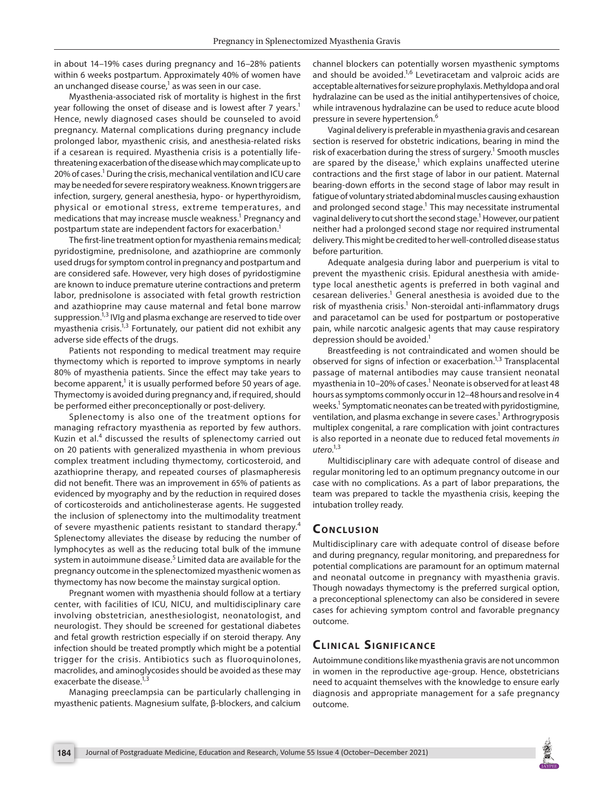in about 14–19% cases during pregnancy and 16–28% patients within 6 weeks postpartum. Approximately 40% of women have an unchanged disease course, $^{\rm 1}$  as was seen in our case.

Myasthenia-associated risk of mortality is highest in the first year following the onset of disease and is lowest after 7 years.<sup>1</sup> Hence, newly diagnosed cases should be counseled to avoid pregnancy. Maternal complications during pregnancy include prolonged labor, myasthenic crisis, and anesthesia-related risks if a cesarean is required. Myasthenia crisis is a potentially lifethreatening exacerbation of the disease which may complicate up to 20% of cases.<sup>1</sup> During the crisis, mechanical ventilation and ICU care may be needed for severe respiratory weakness. Known triggers are infection, surgery, general anesthesia, hypo- or hyperthyroidism, physical or emotional stress, extreme temperatures, and medications that may increase muscle weakness.<sup>1</sup> Pregnancy and postpartum state are independent factors for exacerbation.<sup>1</sup>

The first-line treatment option for myasthenia remains medical; pyridostigmine, prednisolone, and azathioprine are commonly used drugs for symptom control in pregnancy and postpartum and are considered safe. However, very high doses of pyridostigmine are known to induce premature uterine contractions and preterm labor, prednisolone is associated with fetal growth restriction and azathioprine may cause maternal and fetal bone marrow suppression.<sup>1,3</sup> IVIg and plasma exchange are reserved to tide over myasthenia crisis.<sup>1,3</sup> Fortunately, our patient did not exhibit any adverse side effects of the drugs.

Patients not responding to medical treatment may require thymectomy which is reported to improve symptoms in nearly 80% of myasthenia patients. Since the effect may take years to become apparent,<sup>1</sup> it is usually performed before 50 years of age. Thymectomy is avoided during pregnancy and, if required, should be performed either preconceptionally or post-delivery.

Splenectomy is also one of the treatment options for managing refractory myasthenia as reported by few authors. Kuzin et al.<sup>4</sup> discussed the results of splenectomy carried out on 20 patients with generalized myasthenia in whom previous complex treatment including thymectomy, corticosteroid, and azathioprine therapy, and repeated courses of plasmapheresis did not benefit. There was an improvement in 65% of patients as evidenced by myography and by the reduction in required doses of corticosteroids and anticholinesterase agents. He suggested the inclusion of splenectomy into the multimodality treatment of severe myasthenic patients resistant to standard therapy.<sup>4</sup> Splenectomy alleviates the disease by reducing the number of lymphocytes as well as the reducing total bulk of the immune system in autoimmune disease.<sup>5</sup> Limited data are available for the pregnancy outcome in the splenectomized myasthenic women as thymectomy has now become the mainstay surgical option.

Pregnant women with myasthenia should follow at a tertiary center, with facilities of ICU, NICU, and multidisciplinary care involving obstetrician, anesthesiologist, neonatologist, and neurologist. They should be screened for gestational diabetes and fetal growth restriction especially if on steroid therapy. Any infection should be treated promptly which might be a potential trigger for the crisis. Antibiotics such as fluoroquinolones, macrolides, and aminoglycosides should be avoided as these may exacerbate the disease.<sup>1,3</sup>

Managing preeclampsia can be particularly challenging in myasthenic patients. Magnesium sulfate, β-blockers, and calcium

channel blockers can potentially worsen myasthenic symptoms and should be avoided. $1/6$  Levetiracetam and valproic acids are acceptable alternatives for seizure prophylaxis. Methyldopa and oral hydralazine can be used as the initial antihypertensives of choice, while intravenous hydralazine can be used to reduce acute blood pressure in severe hypertension.<sup>6</sup>

Vaginal delivery is preferable in myasthenia gravis and cesarean section is reserved for obstetric indications, bearing in mind the risk of exacerbation during the stress of surgery.<sup>1</sup> Smooth muscles are spared by the disease, $1$  which explains unaffected uterine contractions and the first stage of labor in our patient. Maternal bearing-down efforts in the second stage of labor may result in fatigue of voluntary striated abdominal muscles causing exhaustion and prolonged second stage.<sup>1</sup> This may necessitate instrumental vaginal delivery to cut short the second stage.<sup>1</sup> However, our patient neither had a prolonged second stage nor required instrumental delivery. This might be credited to her well-controlled disease status before parturition.

Adequate analgesia during labor and puerperium is vital to prevent the myasthenic crisis. Epidural anesthesia with amidetype local anesthetic agents is preferred in both vaginal and cesarean deliveries.<sup>1</sup> General anesthesia is avoided due to the risk of myasthenia crisis.<sup>1</sup> Non-steroidal anti-inflammatory drugs and paracetamol can be used for postpartum or postoperative pain, while narcotic analgesic agents that may cause respiratory depression should be avoided.<sup>1</sup>

Breastfeeding is not contraindicated and women should be observed for signs of infection or exacerbation.<sup>1,3</sup> Transplacental passage of maternal antibodies may cause transient neonatal myasthenia in 10–20% of cases.<sup>1</sup> Neonate is observed for at least 48 hours as symptoms commonly occur in 12–48 hours and resolve in 4 weeks.<sup>1</sup> Symptomatic neonates can be treated with pyridostigmine, ventilation, and plasma exchange in severe cases.<sup>1</sup> Arthrogryposis multiplex congenital, a rare complication with joint contractures is also reported in a neonate due to reduced fetal movements *in utero*. 1,3

Multidisciplinary care with adequate control of disease and regular monitoring led to an optimum pregnancy outcome in our case with no complications. As a part of labor preparations, the team was prepared to tackle the myasthenia crisis, keeping the intubation trolley ready.

#### **CONCLUSION**

Multidisciplinary care with adequate control of disease before and during pregnancy, regular monitoring, and preparedness for potential complications are paramount for an optimum maternal and neonatal outcome in pregnancy with myasthenia gravis. Though nowadays thymectomy is the preferred surgical option, a preconceptional splenectomy can also be considered in severe cases for achieving symptom control and favorable pregnancy outcome.

# **CLINICAL SIGNIFICANCE**

Autoimmune conditions like myasthenia gravis are not uncommon in women in the reproductive age-group. Hence, obstetricians need to acquaint themselves with the knowledge to ensure early diagnosis and appropriate management for a safe pregnancy outcome.